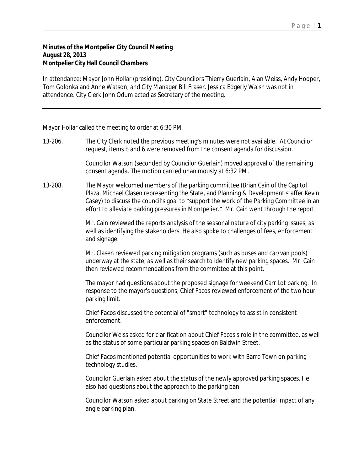## P a g e | **1**

## **Minutes of the Montpelier City Council Meeting August 28, 2013 Montpelier City Hall Council Chambers**

In attendance: Mayor John Hollar (presiding), City Councilors Thierry Guerlain, Alan Weiss, Andy Hooper, Tom Golonka and Anne Watson, and City Manager Bill Fraser. Jessica Edgerly Walsh was not in attendance. City Clerk John Odum acted as Secretary of the meeting.

Mayor Hollar called the meeting to order at 6:30 PM.

13-206. The City Clerk noted the previous meeting's minutes were not available. At Councilor request, items b and 6 were removed from the consent agenda for discussion.

> Councilor Watson (seconded by Councilor Guerlain) moved approval of the remaining consent agenda. The motion carried unanimously at 6:32 PM.

13-208. The Mayor welcomed members of the parking committee (Brian Cain of the Capitol Plaza, Michael Clasen representing the State, and Planning & Development staffer Kevin Casey) to discuss the council's goal to "support the work of the Parking Committee in an effort to alleviate parking pressures in Montpelier." Mr. Cain went through the report.

> Mr. Cain reviewed the reports analysis of the seasonal nature of city parking issues, as well as identifying the stakeholders. He also spoke to challenges of fees, enforcement and signage.

> Mr. Clasen reviewed parking mitigation programs (such as buses and car/van pools) underway at the state, as well as their search to identify new parking spaces. Mr. Cain then reviewed recommendations from the committee at this point.

> The mayor had questions about the proposed signage for weekend Carr Lot parking. In response to the mayor's questions, Chief Facos reviewed enforcement of the two hour parking limit.

Chief Facos discussed the potential of "smart" technology to assist in consistent enforcement.

Councilor Weiss asked for clarification about Chief Facos's role in the committee, as well as the status of some particular parking spaces on Baldwin Street.

Chief Facos mentioned potential opportunities to work with Barre Town on parking technology studies.

Councilor Guerlain asked about the status of the newly approved parking spaces. He also had questions about the approach to the parking ban.

Councilor Watson asked about parking on State Street and the potential impact of any angle parking plan.